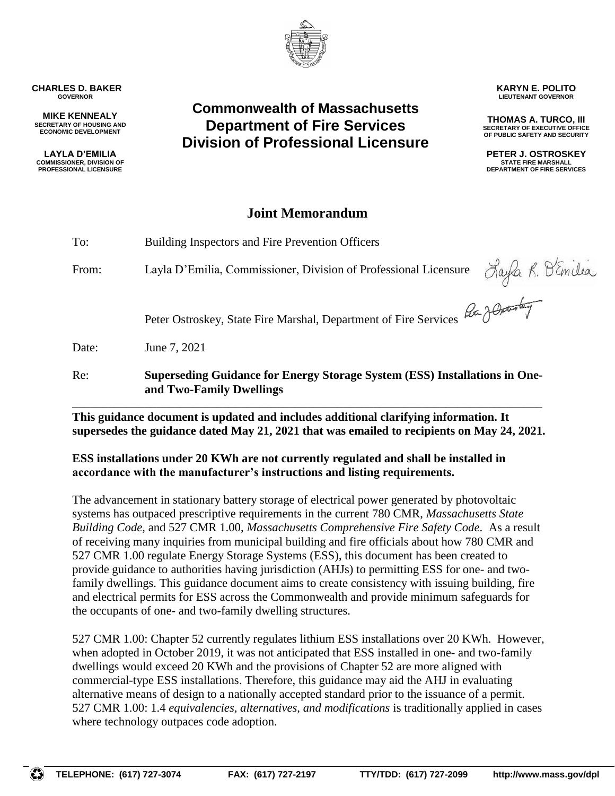

**TELEPHONE: (617) 727-3074 FAX: (617) 727-2197 TTY/TDD: (617) 727-2099 http://www.mass.gov/dpl**

**CHARLES D. BAKER GOVERNOR**

**MIKE KENNEALY SECRETARY OF HOUSING AND ECONOMIC DEVELOPMENT**

**LAYLA D'EMILIA COMMISSIONER, DIVISION OF PROFESSIONAL LICENSURE**

## **Commonwealth of Massachusetts Department of Fire Services Division of Professional Licensure**

## **Joint Memorandum**

To: Building Inspectors and Fire Prevention Officers From: Layla D'Emilia, Commissioner, Division of Professional Licensure Peter Ostroskey, State Fire Marshal, Department of Fire Services Date: June 7, 2021 Re: **Superseding Guidance for Energy Storage System (ESS) Installations in Oneand Two-Family Dwellings**

**This guidance document is updated and includes additional clarifying information. It supersedes the guidance dated May 21, 2021 that was emailed to recipients on May 24, 2021.**

\_\_\_\_\_\_\_\_\_\_\_\_\_\_\_\_\_\_\_\_\_\_\_\_\_\_\_\_\_\_\_\_\_\_\_\_\_\_\_\_\_\_\_\_\_\_\_\_\_\_\_\_\_\_\_\_\_\_\_\_\_\_\_\_\_\_\_\_\_\_\_\_\_\_\_\_\_\_

**ESS installations under 20 KWh are not currently regulated and shall be installed in accordance with the manufacturer's instructions and listing requirements.**

The advancement in stationary battery storage of electrical power generated by photovoltaic systems has outpaced prescriptive requirements in the current 780 CMR, *Massachusetts State Building Code,* and 527 CMR 1.00, *Massachusetts Comprehensive Fire Safety Code*. As a result of receiving many inquiries from municipal building and fire officials about how 780 CMR and 527 CMR 1.00 regulate Energy Storage Systems (ESS), this document has been created to provide guidance to authorities having jurisdiction (AHJs) to permitting ESS for one- and twofamily dwellings. This guidance document aims to create consistency with issuing building, fire and electrical permits for ESS across the Commonwealth and provide minimum safeguards for the occupants of one- and two-family dwelling structures.

527 CMR 1.00: Chapter 52 currently regulates lithium ESS installations over 20 KWh. However, when adopted in October 2019, it was not anticipated that ESS installed in one- and two-family dwellings would exceed 20 KWh and the provisions of Chapter 52 are more aligned with commercial-type ESS installations. Therefore, this guidance may aid the AHJ in evaluating alternative means of design to a nationally accepted standard prior to the issuance of a permit. 527 CMR 1.00: 1.4 *equivalencies, alternatives, and modifications* is traditionally applied in cases where technology outpaces code adoption.



**KARYN E. POLITO LIEUTENANT GOVERNOR**

**THOMAS A. TURCO, III SECRETARY OF EXECUTIVE OFFICE OF PUBLIC SAFETY AND SECURITY**

**PETER J. OSTROSKEY STATE FIRE MARSHALL DEPARTMENT OF FIRE SERVICES**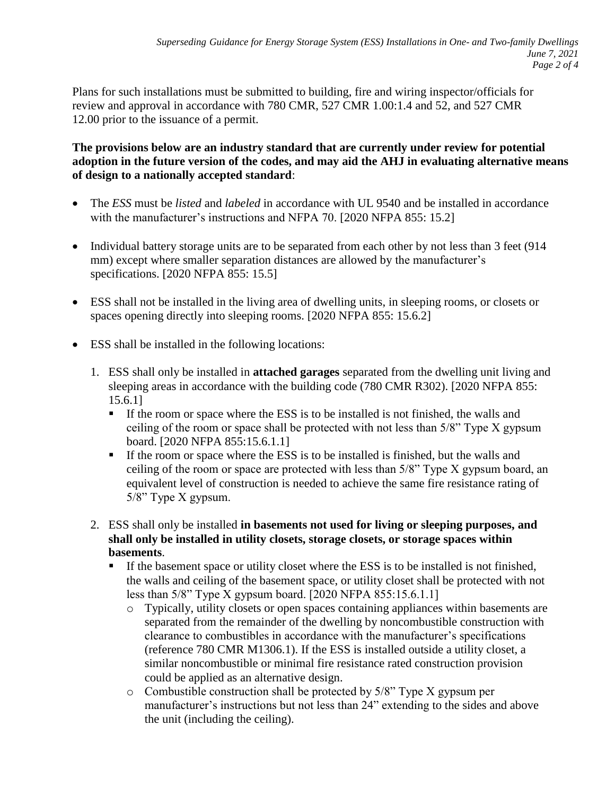Plans for such installations must be submitted to building, fire and wiring inspector/officials for review and approval in accordance with 780 CMR, 527 CMR 1.00:1.4 and 52, and 527 CMR 12.00 prior to the issuance of a permit.

## **The provisions below are an industry standard that are currently under review for potential adoption in the future version of the codes, and may aid the AHJ in evaluating alternative means of design to a nationally accepted standard**:

- The *ESS* must be *listed* and *labeled* in accordance with UL 9540 and be installed in accordance with the manufacturer's instructions and NFPA 70. [2020 NFPA 855: 15.2]
- Individual battery storage units are to be separated from each other by not less than 3 feet (914) mm) except where smaller separation distances are allowed by the manufacturer's specifications. [2020 NFPA 855: 15.5]
- ESS shall not be installed in the living area of dwelling units, in sleeping rooms, or closets or spaces opening directly into sleeping rooms. [2020 NFPA 855: 15.6.2]
- ESS shall be installed in the following locations:
	- 1. ESS shall only be installed in **attached garages** separated from the dwelling unit living and sleeping areas in accordance with the building code (780 CMR R302). [2020 NFPA 855: 15.6.1]
		- If the room or space where the ESS is to be installed is not finished, the walls and ceiling of the room or space shall be protected with not less than 5/8" Type X gypsum board. [2020 NFPA 855:15.6.1.1]
		- If the room or space where the ESS is to be installed is finished, but the walls and ceiling of the room or space are protected with less than 5/8" Type X gypsum board, an equivalent level of construction is needed to achieve the same fire resistance rating of 5/8" Type X gypsum.
	- 2. ESS shall only be installed **in basements not used for living or sleeping purposes, and shall only be installed in utility closets, storage closets, or storage spaces within basements**.
		- If the basement space or utility closet where the ESS is to be installed is not finished, the walls and ceiling of the basement space, or utility closet shall be protected with not less than 5/8" Type X gypsum board. [2020 NFPA 855:15.6.1.1]
			- o Typically, utility closets or open spaces containing appliances within basements are separated from the remainder of the dwelling by noncombustible construction with clearance to combustibles in accordance with the manufacturer's specifications (reference 780 CMR M1306.1). If the ESS is installed outside a utility closet, a similar noncombustible or minimal fire resistance rated construction provision could be applied as an alternative design.
			- o Combustible construction shall be protected by 5/8" Type X gypsum per manufacturer's instructions but not less than 24" extending to the sides and above the unit (including the ceiling).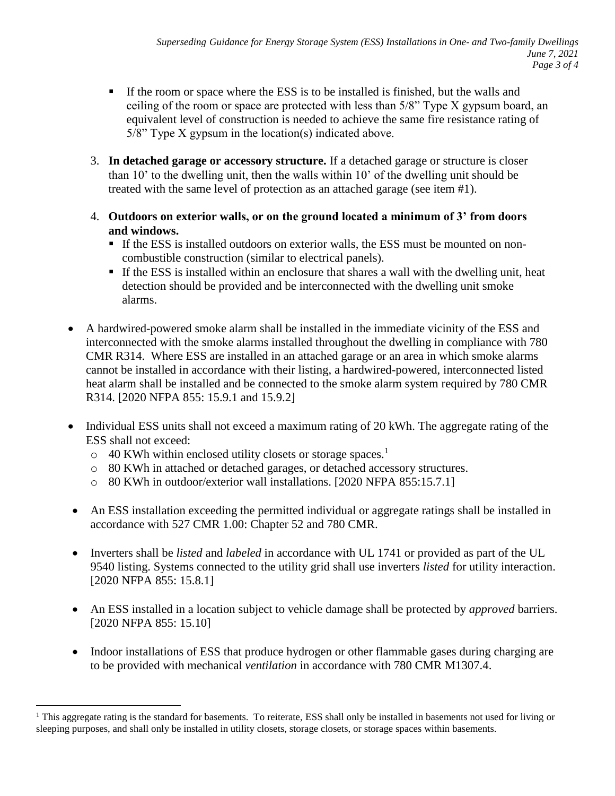- If the room or space where the ESS is to be installed is finished, but the walls and ceiling of the room or space are protected with less than 5/8" Type X gypsum board, an equivalent level of construction is needed to achieve the same fire resistance rating of 5/8" Type X gypsum in the location(s) indicated above.
- 3. **In detached garage or accessory structure.** If a detached garage or structure is closer than 10' to the dwelling unit, then the walls within 10' of the dwelling unit should be treated with the same level of protection as an attached garage (see item #1).
- 4. **Outdoors on exterior walls, or on the ground located a minimum of 3' from doors and windows.**
	- If the ESS is installed outdoors on exterior walls, the ESS must be mounted on noncombustible construction (similar to electrical panels).
	- If the ESS is installed within an enclosure that shares a wall with the dwelling unit, heat detection should be provided and be interconnected with the dwelling unit smoke alarms.
- A hardwired-powered smoke alarm shall be installed in the immediate vicinity of the ESS and interconnected with the smoke alarms installed throughout the dwelling in compliance with 780 CMR R314. Where ESS are installed in an attached garage or an area in which smoke alarms cannot be installed in accordance with their listing, a hardwired-powered, interconnected listed heat alarm shall be installed and be connected to the smoke alarm system required by 780 CMR R314. [2020 NFPA 855: 15.9.1 and 15.9.2]
- Individual ESS units shall not exceed a maximum rating of 20 kWh. The aggregate rating of the ESS shall not exceed:
	- $\circ$  40 KWh within enclosed utility closets or storage spaces.<sup>1</sup>

 $\overline{a}$ 

- o 80 KWh in attached or detached garages, or detached accessory structures.
- o 80 KWh in outdoor/exterior wall installations. [2020 NFPA 855:15.7.1]
- An ESS installation exceeding the permitted individual or aggregate ratings shall be installed in accordance with 527 CMR 1.00: Chapter 52 and 780 CMR.
- Inverters shall be *listed* and *labeled* in accordance with UL 1741 or provided as part of the UL 9540 listing. Systems connected to the utility grid shall use inverters *listed* for utility interaction. [2020 NFPA 855: 15.8.1]
- An ESS installed in a location subject to vehicle damage shall be protected by *approved* barriers. [2020 NFPA 855: 15.10]
- Indoor installations of ESS that produce hydrogen or other flammable gases during charging are to be provided with mechanical *ventilation* in accordance with 780 CMR M1307.4.

<sup>&</sup>lt;sup>1</sup> This aggregate rating is the standard for basements. To reiterate, ESS shall only be installed in basements not used for living or sleeping purposes, and shall only be installed in utility closets, storage closets, or storage spaces within basements.